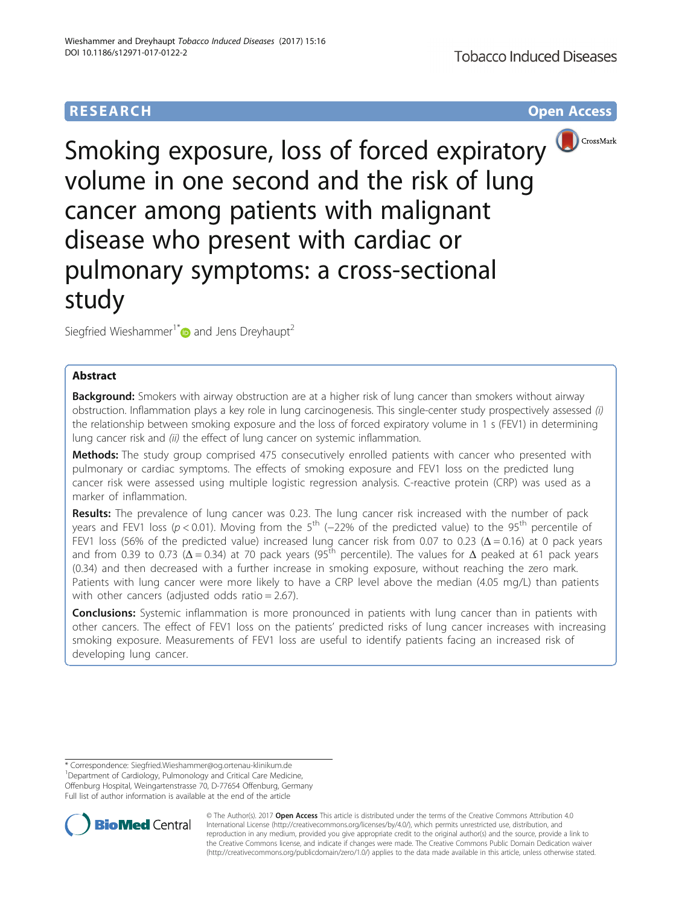# **RESEARCH CHE Open Access**



Smoking exposure, loss of forced expiratory volume in one second and the risk of lung cancer among patients with malignant disease who present with cardiac or pulmonary symptoms: a cross-sectional study

Siegfried Wieshammer<sup>1\*</sup> and Jens Dreyhaupt<sup>2</sup>

## Abstract

**Background:** Smokers with airway obstruction are at a higher risk of lung cancer than smokers without airway obstruction. Inflammation plays a key role in lung carcinogenesis. This single-center study prospectively assessed (i) the relationship between smoking exposure and the loss of forced expiratory volume in 1 s (FEV1) in determining lung cancer risk and (ii) the effect of lung cancer on systemic inflammation.

Methods: The study group comprised 475 consecutively enrolled patients with cancer who presented with pulmonary or cardiac symptoms. The effects of smoking exposure and FEV1 loss on the predicted lung cancer risk were assessed using multiple logistic regression analysis. C-reactive protein (CRP) was used as a marker of inflammation.

Results: The prevalence of lung cancer was 0.23. The lung cancer risk increased with the number of pack years and FEV1 loss (p < 0.01). Moving from the 5<sup>th</sup> (−22% of the predicted value) to the 95<sup>th</sup> percentile of FEV1 loss (56% of the predicted value) increased lung cancer risk from 0.07 to 0.23 ( $\Delta$  = 0.16) at 0 pack years and from 0.39 to 0.73 ( $\Delta$  = 0.34) at 70 pack years (95<sup>th</sup> percentile). The values for  $\Delta$  peaked at 61 pack years (0.34) and then decreased with a further increase in smoking exposure, without reaching the zero mark. Patients with lung cancer were more likely to have a CRP level above the median (4.05 mg/L) than patients with other cancers (adjusted odds ratio = 2.67).

**Conclusions:** Systemic inflammation is more pronounced in patients with lung cancer than in patients with other cancers. The effect of FEV1 loss on the patients' predicted risks of lung cancer increases with increasing smoking exposure. Measurements of FEV1 loss are useful to identify patients facing an increased risk of developing lung cancer.

Department of Cardiology, Pulmonology and Critical Care Medicine, Offenburg Hospital, Weingartenstrasse 70, D-77654 Offenburg, Germany Full list of author information is available at the end of the article



© The Author(s). 2017 **Open Access** This article is distributed under the terms of the Creative Commons Attribution 4.0 International License [\(http://creativecommons.org/licenses/by/4.0/](http://creativecommons.org/licenses/by/4.0/)), which permits unrestricted use, distribution, and reproduction in any medium, provided you give appropriate credit to the original author(s) and the source, provide a link to the Creative Commons license, and indicate if changes were made. The Creative Commons Public Domain Dedication waiver [\(http://creativecommons.org/publicdomain/zero/1.0/](http://creativecommons.org/publicdomain/zero/1.0/)) applies to the data made available in this article, unless otherwise stated.

<sup>\*</sup> Correspondence: [Siegfried.Wieshammer@og.ortenau-klinikum.de](mailto:Siegfried.Wieshammer@og.ortenau-klinikum.de) <sup>1</sup>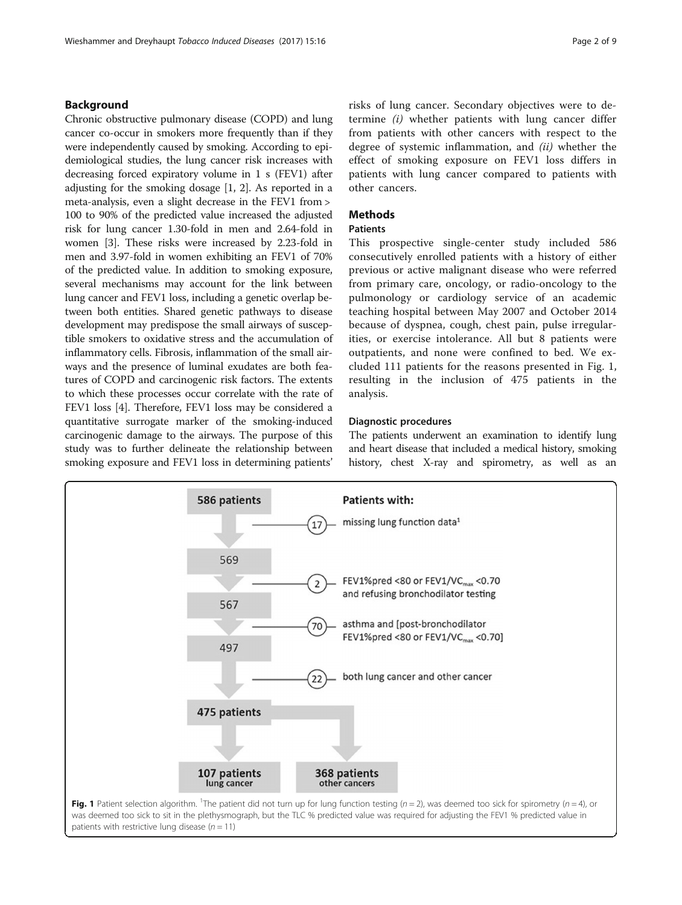## Background

Chronic obstructive pulmonary disease (COPD) and lung cancer co-occur in smokers more frequently than if they were independently caused by smoking. According to epidemiological studies, the lung cancer risk increases with decreasing forced expiratory volume in 1 s (FEV1) after adjusting for the smoking dosage [\[1, 2](#page-7-0)]. As reported in a meta-analysis, even a slight decrease in the FEV1 from > 100 to 90% of the predicted value increased the adjusted risk for lung cancer 1.30-fold in men and 2.64-fold in women [\[3](#page-7-0)]. These risks were increased by 2.23-fold in men and 3.97-fold in women exhibiting an FEV1 of 70% of the predicted value. In addition to smoking exposure, several mechanisms may account for the link between lung cancer and FEV1 loss, including a genetic overlap between both entities. Shared genetic pathways to disease development may predispose the small airways of susceptible smokers to oxidative stress and the accumulation of inflammatory cells. Fibrosis, inflammation of the small airways and the presence of luminal exudates are both features of COPD and carcinogenic risk factors. The extents to which these processes occur correlate with the rate of FEV1 loss [[4](#page-7-0)]. Therefore, FEV1 loss may be considered a quantitative surrogate marker of the smoking-induced carcinogenic damage to the airways. The purpose of this study was to further delineate the relationship between smoking exposure and FEV1 loss in determining patients'

risks of lung cancer. Secondary objectives were to determine (i) whether patients with lung cancer differ from patients with other cancers with respect to the degree of systemic inflammation, and (ii) whether the effect of smoking exposure on FEV1 loss differs in patients with lung cancer compared to patients with other cancers.

## **Methods**

## Patients

This prospective single-center study included 586 consecutively enrolled patients with a history of either previous or active malignant disease who were referred from primary care, oncology, or radio-oncology to the pulmonology or cardiology service of an academic teaching hospital between May 2007 and October 2014 because of dyspnea, cough, chest pain, pulse irregularities, or exercise intolerance. All but 8 patients were outpatients, and none were confined to bed. We excluded 111 patients for the reasons presented in Fig. 1, resulting in the inclusion of 475 patients in the analysis.

## Diagnostic procedures

The patients underwent an examination to identify lung and heart disease that included a medical history, smoking history, chest X-ray and spirometry, as well as an

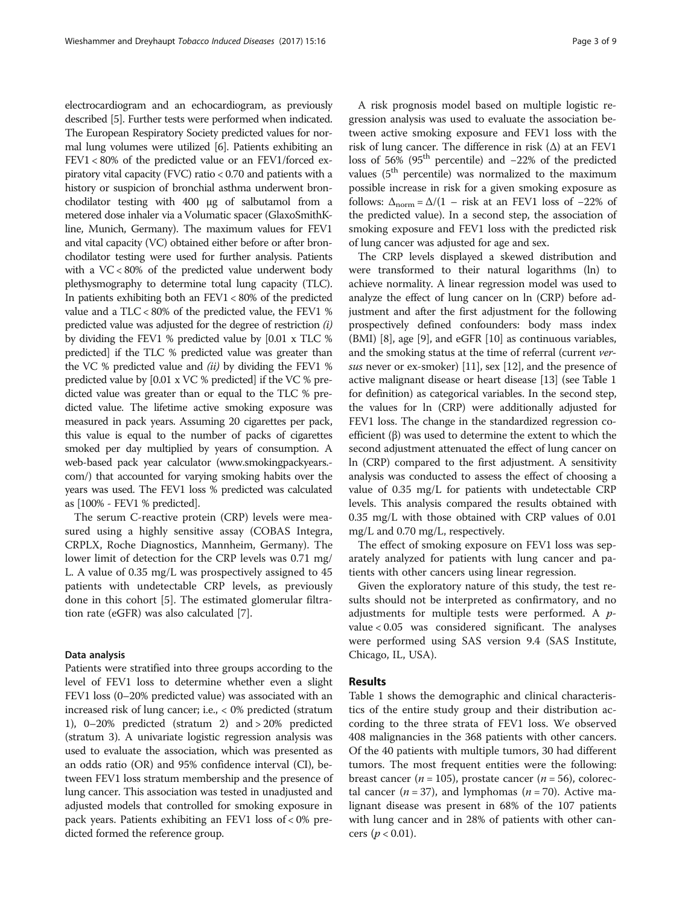electrocardiogram and an echocardiogram, as previously described [\[5](#page-7-0)]. Further tests were performed when indicated. The European Respiratory Society predicted values for normal lung volumes were utilized [\[6\]](#page-7-0). Patients exhibiting an FEV1 < 80% of the predicted value or an FEV1/forced expiratory vital capacity (FVC) ratio < 0.70 and patients with a history or suspicion of bronchial asthma underwent bronchodilator testing with 400 μg of salbutamol from a metered dose inhaler via a Volumatic spacer (GlaxoSmithKline, Munich, Germany). The maximum values for FEV1 and vital capacity (VC) obtained either before or after bronchodilator testing were used for further analysis. Patients with a VC < 80% of the predicted value underwent body plethysmography to determine total lung capacity (TLC). In patients exhibiting both an  $FEV1 < 80\%$  of the predicted value and a TLC < 80% of the predicted value, the FEV1 % predicted value was adjusted for the degree of restriction (i) by dividing the FEV1 % predicted value by [0.01 x TLC % predicted] if the TLC % predicted value was greater than the VC % predicted value and  $(ii)$  by dividing the FEV1 % predicted value by [0.01 x VC % predicted] if the VC % predicted value was greater than or equal to the TLC % predicted value. The lifetime active smoking exposure was measured in pack years. Assuming 20 cigarettes per pack, this value is equal to the number of packs of cigarettes smoked per day multiplied by years of consumption. A web-based pack year calculator [\(www.smokingpackyears.](http://www.smokingpackyears.com/) [com/](http://www.smokingpackyears.com/)) that accounted for varying smoking habits over the years was used. The FEV1 loss % predicted was calculated as [100% - FEV1 % predicted].

The serum C-reactive protein (CRP) levels were measured using a highly sensitive assay (COBAS Integra, CRPLX, Roche Diagnostics, Mannheim, Germany). The lower limit of detection for the CRP levels was 0.71 mg/ L. A value of 0.35 mg/L was prospectively assigned to 45 patients with undetectable CRP levels, as previously done in this cohort [[5](#page-7-0)]. The estimated glomerular filtration rate (eGFR) was also calculated [\[7](#page-7-0)].

## Data analysis

Patients were stratified into three groups according to the level of FEV1 loss to determine whether even a slight FEV1 loss (0–20% predicted value) was associated with an increased risk of lung cancer; i.e., < 0% predicted (stratum 1), 0–20% predicted (stratum 2) and > 20% predicted (stratum 3). A univariate logistic regression analysis was used to evaluate the association, which was presented as an odds ratio (OR) and 95% confidence interval (CI), between FEV1 loss stratum membership and the presence of lung cancer. This association was tested in unadjusted and adjusted models that controlled for smoking exposure in pack years. Patients exhibiting an FEV1 loss of < 0% predicted formed the reference group.

A risk prognosis model based on multiple logistic regression analysis was used to evaluate the association between active smoking exposure and FEV1 loss with the risk of lung cancer. The difference in risk  $(\Delta)$  at an FEV1 loss of 56% (95th percentile) and −22% of the predicted values  $(5<sup>th</sup>$  percentile) was normalized to the maximum possible increase in risk for a given smoking exposure as follows:  $\Delta_{\text{norm}} = \Delta/(1 - \text{risk at an FEV1 loss of } -22\% \text{ of }$ the predicted value). In a second step, the association of smoking exposure and FEV1 loss with the predicted risk of lung cancer was adjusted for age and sex.

The CRP levels displayed a skewed distribution and were transformed to their natural logarithms (ln) to achieve normality. A linear regression model was used to analyze the effect of lung cancer on ln (CRP) before adjustment and after the first adjustment for the following prospectively defined confounders: body mass index (BMI) [\[8\]](#page-7-0), age [\[9](#page-7-0)], and eGFR [[10\]](#page-7-0) as continuous variables, and the smoking status at the time of referral (current ver-sus never or ex-smoker) [[11](#page-7-0)], sex [[12](#page-7-0)], and the presence of active malignant disease or heart disease [[13](#page-7-0)] (see Table [1](#page-3-0) for definition) as categorical variables. In the second step, the values for ln (CRP) were additionally adjusted for FEV1 loss. The change in the standardized regression coefficient (β) was used to determine the extent to which the second adjustment attenuated the effect of lung cancer on ln (CRP) compared to the first adjustment. A sensitivity analysis was conducted to assess the effect of choosing a value of 0.35 mg/L for patients with undetectable CRP levels. This analysis compared the results obtained with 0.35 mg/L with those obtained with CRP values of 0.01 mg/L and 0.70 mg/L, respectively.

The effect of smoking exposure on FEV1 loss was separately analyzed for patients with lung cancer and patients with other cancers using linear regression.

Given the exploratory nature of this study, the test results should not be interpreted as confirmatory, and no adjustments for multiple tests were performed. A pvalue < 0.05 was considered significant. The analyses were performed using SAS version 9.4 (SAS Institute, Chicago, IL, USA).

## Results

Table [1](#page-3-0) shows the demographic and clinical characteristics of the entire study group and their distribution according to the three strata of FEV1 loss. We observed 408 malignancies in the 368 patients with other cancers. Of the 40 patients with multiple tumors, 30 had different tumors. The most frequent entities were the following: breast cancer ( $n = 105$ ), prostate cancer ( $n = 56$ ), colorectal cancer ( $n = 37$ ), and lymphomas ( $n = 70$ ). Active malignant disease was present in 68% of the 107 patients with lung cancer and in 28% of patients with other cancers ( $p < 0.01$ ).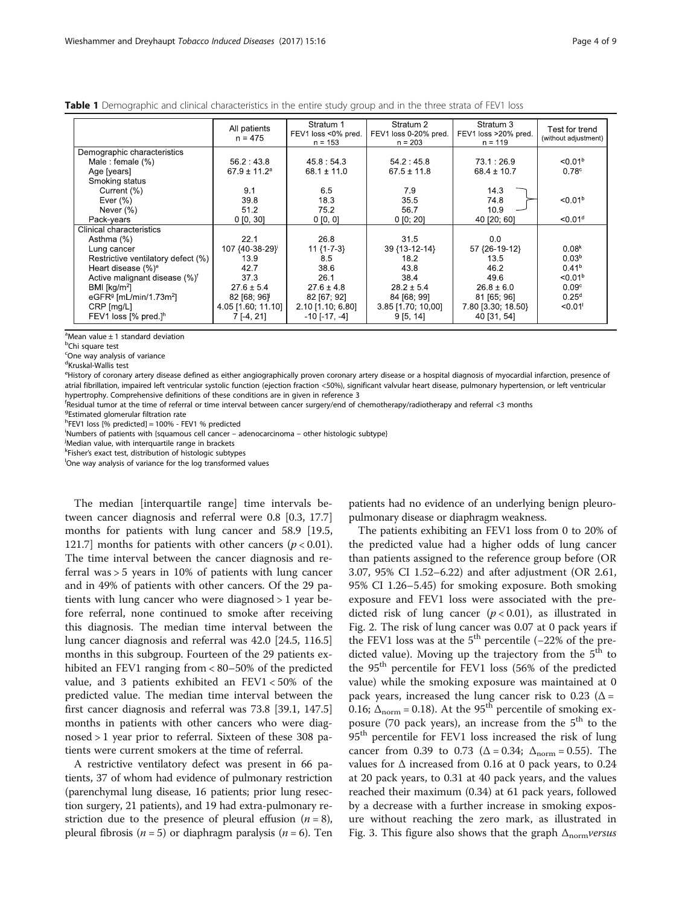<span id="page-3-0"></span>Table 1 Demographic and clinical characteristics in the entire study group and in the three strata of FEV1 loss

|                                                 | All patients<br>$n = 475$    | Stratum 1<br>FEV1 loss <0% pred.<br>$n = 153$ | Stratum 2<br>FEV1 loss 0-20% pred.<br>$n = 203$ | Stratum 3<br>FEV1 loss >20% pred.<br>$n = 119$ | Test for trend<br>(without adjustment) |
|-------------------------------------------------|------------------------------|-----------------------------------------------|-------------------------------------------------|------------------------------------------------|----------------------------------------|
| Demographic characteristics                     |                              |                                               |                                                 |                                                |                                        |
| Male : female $(\%)$                            | 56.2 : 43.8                  | 45.8:54.3                                     | 54.2:45.8                                       | 73.1:26.9                                      | < 0.01 <sup>b</sup>                    |
| Age [years]                                     | $67.9 \pm 11.2$ <sup>a</sup> | $68.1 \pm 11.0$                               | $67.5 \pm 11.8$                                 | $68.4 \pm 10.7$                                | 0.78c                                  |
| Smoking status                                  |                              |                                               |                                                 |                                                |                                        |
| Current (%)                                     | 9.1                          | 6.5                                           | 7.9                                             | 14.3                                           |                                        |
| Ever $(\% )$                                    | 39.8                         | 18.3                                          | 35.5                                            | 74.8                                           | < 0.01 <sup>b</sup>                    |
| Never $(\% )$                                   | 51.2                         | 75.2                                          | 56.7                                            | 10.9                                           |                                        |
| Pack-years                                      | $0$ [0, 30]                  | 0 [0, 0]                                      | 0 [0; 20]                                       | 40 [20:60]                                     | < 0.01 <sup>d</sup>                    |
| Clinical characteristics                        |                              |                                               |                                                 |                                                |                                        |
| Asthma (%)                                      | 22.1                         | 26.8                                          | 31.5                                            | 0.0                                            |                                        |
| Lung cancer                                     | 107 {40-38-29}               | $11\{1-7-3\}$                                 | 39 {13 - 12 - 14}                               | 57 {26-19-12}                                  | 0.08 <sup>k</sup>                      |
| Restrictive ventilatory defect (%)              | 13.9                         | 8.5                                           | 18.2                                            | 13.5                                           | 0.03 <sup>b</sup>                      |
| Heart disease $(\%)^e$                          | 42.7                         | 38.6                                          | 43.8                                            | 46.2                                           | 0.41 <sup>b</sup>                      |
| Active malignant disease (%) <sup>f</sup>       | 37.3                         | 26.1                                          | 38.4                                            | 49.6                                           | < 0.01 <sup>b</sup>                    |
| BMI [ $kg/m2$ ]                                 | $27.6 \pm 5.4$               | $27.6 \pm 4.8$                                | $28.2 \pm 5.4$                                  | $26.8 \pm 6.0$                                 | 0.09 <sup>c</sup>                      |
| eGFR <sup>9</sup> [mL/min/1.73m <sup>2</sup> ]  | $82$ [68; $96$ ]             | 82 [67; 92]                                   | 84 [68: 99]                                     | 81 [65; 96]                                    | $0.25^{d}$                             |
| CRP [mg/L]                                      | 4.05 [1.60; 11.10]           | $2.10$ [1.10; 6.80]                           | 3.85 [1.70; 10,00]                              | 7.80 [3.30; 18.50}                             | < 0.01                                 |
| FEV1 loss $\lceil\% \rceil$ pred.] <sup>h</sup> | 7 [-4, 21]                   | $-10$ [ $-17, -4$ ]                           | 9[5, 14]                                        | 40 [31, 54]                                    |                                        |

 $^{\circ}$ Mean value  $\pm$  1 standard deviation

<sup>b</sup>Chi square test

<sup>c</sup>One way analysis of variance

d Kruskal-Wallis test

e<br>History of coronary artery disease defined as either angiographically proven coronary artery disease or a hospital diagnosis of myocardial infarction, presence of atrial fibrillation, impaired left ventricular systolic function (ejection fraction <50%), significant valvular heart disease, pulmonary hypertension, or left ventricular hypertrophy. Comprehensive definitions of these conditions are in given in reference 3

f Residual tumor at the time of referral or time interval between cancer surgery/end of chemotherapy/radiotherapy and referral <3 months

<sup>g</sup>Estimated glomerular filtration rate

h FEV1 loss [% predicted] = 100% - FEV1 % predicted

i Numbers of patients with {squamous cell cancer – adenocarcinoma – other histologic subtype} <sup>j</sup>

<sup>j</sup>Median value, with interquartile range in brackets

k<br>Fisher's exact test, distribution of histologic subtypes<br>One way analysis of variance for the log transformed

One way analysis of variance for the log transformed values

The median [interquartile range] time intervals between cancer diagnosis and referral were 0.8 [0.3, 17.7] months for patients with lung cancer and 58.9 [19.5, 121.7] months for patients with other cancers ( $p < 0.01$ ). The time interval between the cancer diagnosis and referral was > 5 years in 10% of patients with lung cancer and in 49% of patients with other cancers. Of the 29 patients with lung cancer who were diagnosed > 1 year before referral, none continued to smoke after receiving this diagnosis. The median time interval between the lung cancer diagnosis and referral was 42.0 [24.5, 116.5] months in this subgroup. Fourteen of the 29 patients exhibited an FEV1 ranging from < 80–50% of the predicted value, and 3 patients exhibited an FEV1 < 50% of the predicted value. The median time interval between the first cancer diagnosis and referral was 73.8 [39.1, 147.5] months in patients with other cancers who were diagnosed > 1 year prior to referral. Sixteen of these 308 patients were current smokers at the time of referral.

A restrictive ventilatory defect was present in 66 patients, 37 of whom had evidence of pulmonary restriction (parenchymal lung disease, 16 patients; prior lung resection surgery, 21 patients), and 19 had extra-pulmonary restriction due to the presence of pleural effusion  $(n = 8)$ , pleural fibrosis ( $n = 5$ ) or diaphragm paralysis ( $n = 6$ ). Ten

patients had no evidence of an underlying benign pleuropulmonary disease or diaphragm weakness.

The patients exhibiting an FEV1 loss from 0 to 20% of the predicted value had a higher odds of lung cancer than patients assigned to the reference group before (OR 3.07, 95% CI 1.52–6.22) and after adjustment (OR 2.61, 95% CI 1.26–5.45) for smoking exposure. Both smoking exposure and FEV1 loss were associated with the predicted risk of lung cancer  $(p < 0.01)$ , as illustrated in Fig. [2](#page-4-0). The risk of lung cancer was 0.07 at 0 pack years if the FEV1 loss was at the  $5<sup>th</sup>$  percentile (−22% of the predicted value). Moving up the trajectory from the  $5<sup>th</sup>$  to the 95<sup>th</sup> percentile for FEV1 loss (56% of the predicted value) while the smoking exposure was maintained at 0 pack years, increased the lung cancer risk to 0.23 ( $\Delta$  = 0.16;  $\Delta_{\text{norm}} = 0.18$ ). At the 95<sup>th</sup> percentile of smoking exposure (70 pack years), an increase from the  $5<sup>th</sup>$  to the 95<sup>th</sup> percentile for FEV1 loss increased the risk of lung cancer from 0.39 to 0.73 ( $\Delta = 0.34$ ;  $\Delta_{\text{norm}} = 0.55$ ). The values for  $\Delta$  increased from 0.16 at 0 pack years, to 0.24 at 20 pack years, to 0.31 at 40 pack years, and the values reached their maximum (0.34) at 61 pack years, followed by a decrease with a further increase in smoking exposure without reaching the zero mark, as illustrated in Fig. [3](#page-4-0). This figure also shows that the graph  $\Delta_{\text{norm}}$  versus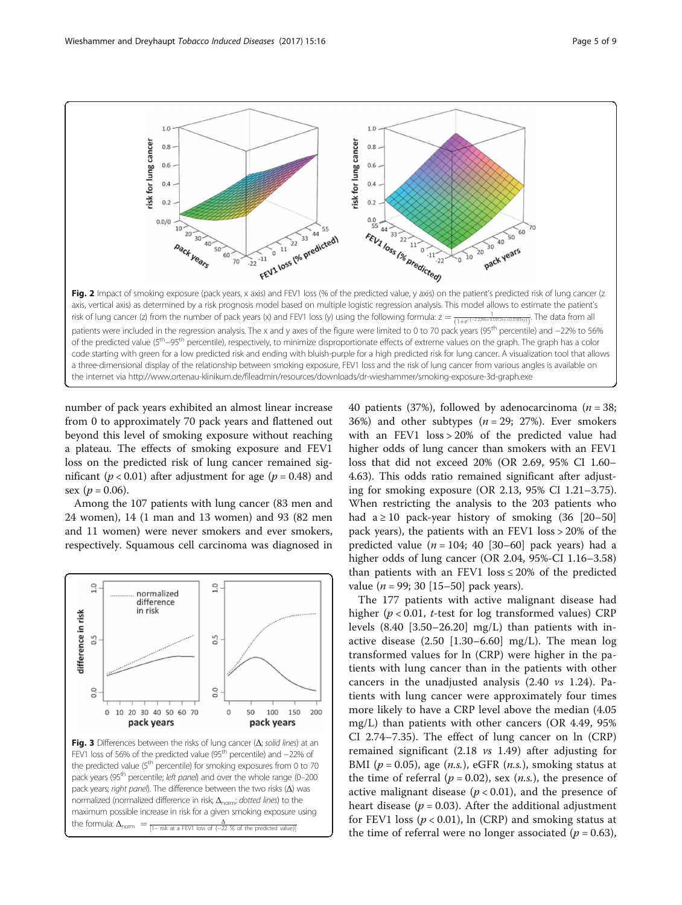<span id="page-4-0"></span>

number of pack years exhibited an almost linear increase from 0 to approximately 70 pack years and flattened out beyond this level of smoking exposure without reaching a plateau. The effects of smoking exposure and FEV1 loss on the predicted risk of lung cancer remained significant ( $p < 0.01$ ) after adjustment for age ( $p = 0.48$ ) and sex  $(p = 0.06)$ .

Among the 107 patients with lung cancer (83 men and 24 women), 14 (1 man and 13 women) and 93 (82 men and 11 women) were never smokers and ever smokers, respectively. Squamous cell carcinoma was diagnosed in



40 patients (37%), followed by adenocarcinoma ( $n = 38$ ; 36%) and other subtypes ( $n = 29$ ; 27%). Ever smokers with an FEV1 loss > 20% of the predicted value had higher odds of lung cancer than smokers with an FEV1 loss that did not exceed 20% (OR 2.69, 95% CI 1.60– 4.63). This odds ratio remained significant after adjusting for smoking exposure (OR 2.13, 95% CI 1.21–3.75). When restricting the analysis to the 203 patients who had  $a \ge 10$  pack-year history of smoking  $(36 \mid 20-50]$ pack years), the patients with an FEV1 loss > 20% of the predicted value ( $n = 104$ ; 40 [30–60] pack years) had a higher odds of lung cancer (OR 2.04, 95%-CI 1.16–3.58) than patients with an FEV1  $\text{loss} \leq 20\%$  of the predicted value ( $n = 99$ ; 30 [15–50] pack years).

The 177 patients with active malignant disease had higher ( $p < 0.01$ , t-test for log transformed values) CRP levels  $(8.40 \text{ } [3.50-26.20] \text{ mg/L})$  than patients with inactive disease  $(2.50 \, [1.30-6.60] \, mg/L)$ . The mean log transformed values for ln (CRP) were higher in the patients with lung cancer than in the patients with other cancers in the unadjusted analysis (2.40 vs 1.24). Patients with lung cancer were approximately four times more likely to have a CRP level above the median (4.05 mg/L) than patients with other cancers (OR 4.49, 95% CI 2.74–7.35). The effect of lung cancer on ln (CRP) remained significant (2.18 vs 1.49) after adjusting for BMI ( $p = 0.05$ ), age (*n.s.*), eGFR (*n.s.*), smoking status at the time of referral ( $p = 0.02$ ), sex (*n.s.*), the presence of active malignant disease ( $p < 0.01$ ), and the presence of heart disease ( $p = 0.03$ ). After the additional adjustment for FEV1 loss ( $p < 0.01$ ), ln (CRP) and smoking status at the time of referral were no longer associated ( $p = 0.63$ ),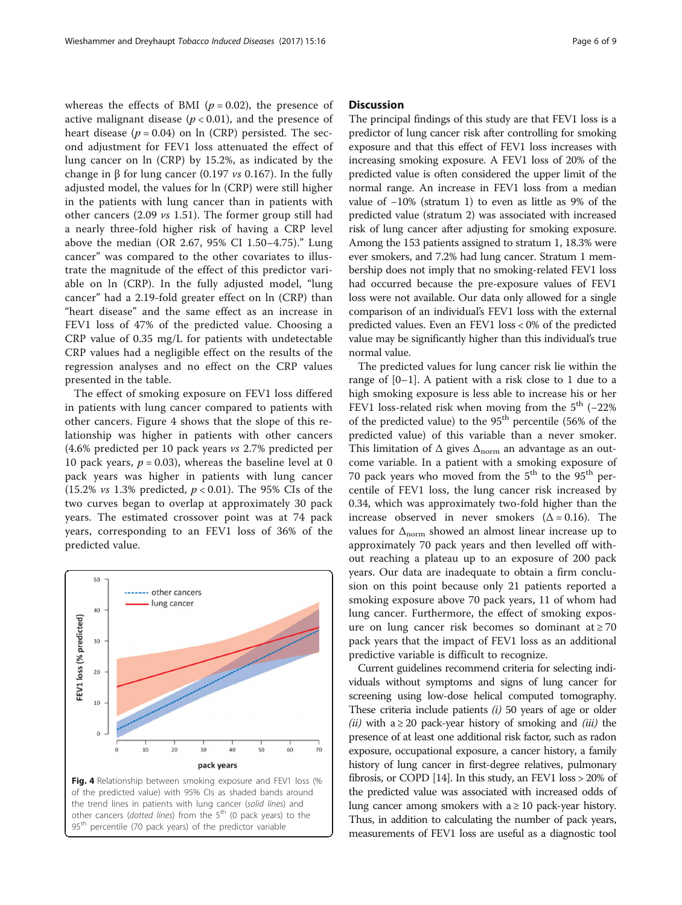whereas the effects of BMI ( $p = 0.02$ ), the presence of active malignant disease ( $p < 0.01$ ), and the presence of heart disease ( $p = 0.04$ ) on ln (CRP) persisted. The second adjustment for FEV1 loss attenuated the effect of lung cancer on ln (CRP) by 15.2%, as indicated by the change in β for lung cancer (0.197 *vs* 0.167). In the fully adjusted model, the values for ln (CRP) were still higher in the patients with lung cancer than in patients with other cancers (2.09 vs 1.51). The former group still had a nearly three-fold higher risk of having a CRP level above the median (OR 2.67, 95% CI 1.50–4.75)." Lung cancer" was compared to the other covariates to illustrate the magnitude of the effect of this predictor variable on ln (CRP). In the fully adjusted model, "lung cancer" had a 2.19-fold greater effect on ln (CRP) than "heart disease" and the same effect as an increase in FEV1 loss of 47% of the predicted value. Choosing a CRP value of 0.35 mg/L for patients with undetectable CRP values had a negligible effect on the results of the regression analyses and no effect on the CRP values presented in the table.

The effect of smoking exposure on FEV1 loss differed in patients with lung cancer compared to patients with other cancers. Figure 4 shows that the slope of this relationship was higher in patients with other cancers (4.6% predicted per 10 pack years vs 2.7% predicted per 10 pack years,  $p = 0.03$ ), whereas the baseline level at 0 pack years was higher in patients with lung cancer (15.2% *vs* 1.3% predicted,  $p < 0.01$ ). The 95% CIs of the two curves began to overlap at approximately 30 pack years. The estimated crossover point was at 74 pack years, corresponding to an FEV1 loss of 36% of the predicted value.



## **Discussion**

The principal findings of this study are that FEV1 loss is a predictor of lung cancer risk after controlling for smoking exposure and that this effect of FEV1 loss increases with increasing smoking exposure. A FEV1 loss of 20% of the predicted value is often considered the upper limit of the normal range. An increase in FEV1 loss from a median value of −10% (stratum 1) to even as little as 9% of the predicted value (stratum 2) was associated with increased risk of lung cancer after adjusting for smoking exposure. Among the 153 patients assigned to stratum 1, 18.3% were ever smokers, and 7.2% had lung cancer. Stratum 1 membership does not imply that no smoking-related FEV1 loss had occurred because the pre-exposure values of FEV1 loss were not available. Our data only allowed for a single comparison of an individual's FEV1 loss with the external predicted values. Even an FEV1 loss < 0% of the predicted value may be significantly higher than this individual's true normal value.

The predicted values for lung cancer risk lie within the range of  $[0-1]$ . A patient with a risk close to 1 due to a high smoking exposure is less able to increase his or her FEV1 loss-related risk when moving from the  $5<sup>th</sup>$  (-22%) of the predicted value) to the  $95<sup>th</sup>$  percentile (56% of the predicted value) of this variable than a never smoker. This limitation of  $\Delta$  gives  $\Delta_{\text{norm}}$  an advantage as an outcome variable. In a patient with a smoking exposure of 70 pack years who moved from the  $5<sup>th</sup>$  to the 95<sup>th</sup> percentile of FEV1 loss, the lung cancer risk increased by 0.34, which was approximately two-fold higher than the increase observed in never smokers  $(\Delta = 0.16)$ . The values for  $\Delta_{\rm norm}$  showed an almost linear increase up to approximately 70 pack years and then levelled off without reaching a plateau up to an exposure of 200 pack years. Our data are inadequate to obtain a firm conclusion on this point because only 21 patients reported a smoking exposure above 70 pack years, 11 of whom had lung cancer. Furthermore, the effect of smoking exposure on lung cancer risk becomes so dominant at  $\geq 70$ pack years that the impact of FEV1 loss as an additional predictive variable is difficult to recognize.

Current guidelines recommend criteria for selecting individuals without symptoms and signs of lung cancer for screening using low-dose helical computed tomography. These criteria include patients  $(i)$  50 years of age or older (*ii*) with a  $\geq$  20 pack-year history of smoking and (*iii*) the presence of at least one additional risk factor, such as radon exposure, occupational exposure, a cancer history, a family history of lung cancer in first-degree relatives, pulmonary fibrosis, or COPD [\[14](#page-7-0)]. In this study, an FEV1 loss > 20% of the predicted value was associated with increased odds of lung cancer among smokers with  $a \ge 10$  pack-year history. Thus, in addition to calculating the number of pack years, measurements of FEV1 loss are useful as a diagnostic tool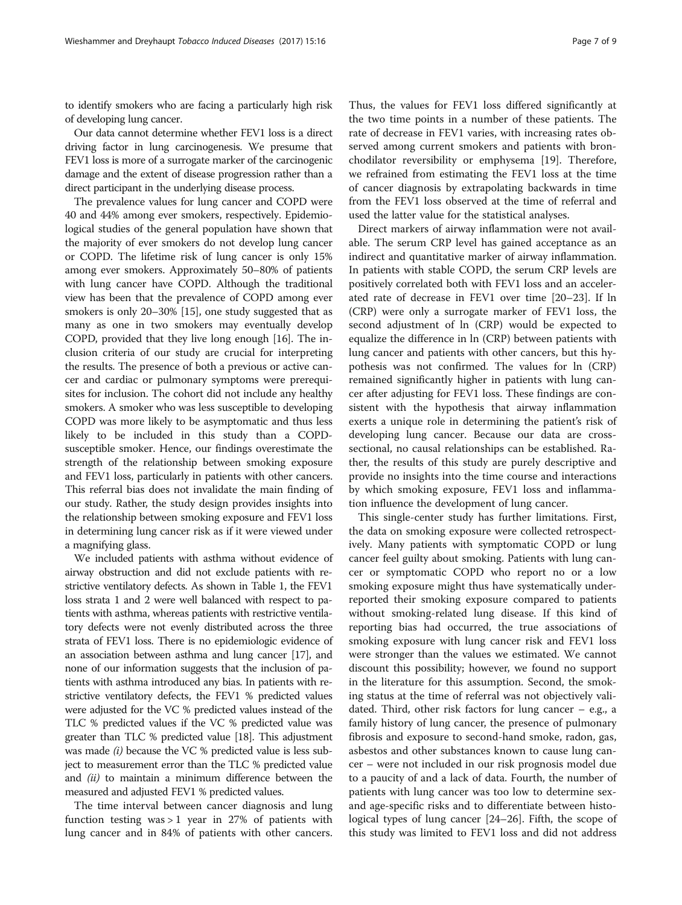to identify smokers who are facing a particularly high risk of developing lung cancer.

Our data cannot determine whether FEV1 loss is a direct driving factor in lung carcinogenesis. We presume that FEV1 loss is more of a surrogate marker of the carcinogenic damage and the extent of disease progression rather than a direct participant in the underlying disease process.

The prevalence values for lung cancer and COPD were 40 and 44% among ever smokers, respectively. Epidemiological studies of the general population have shown that the majority of ever smokers do not develop lung cancer or COPD. The lifetime risk of lung cancer is only 15% among ever smokers. Approximately 50–80% of patients with lung cancer have COPD. Although the traditional view has been that the prevalence of COPD among ever smokers is only 20–30% [\[15\]](#page-7-0), one study suggested that as many as one in two smokers may eventually develop COPD, provided that they live long enough [\[16](#page-7-0)]. The inclusion criteria of our study are crucial for interpreting the results. The presence of both a previous or active cancer and cardiac or pulmonary symptoms were prerequisites for inclusion. The cohort did not include any healthy smokers. A smoker who was less susceptible to developing COPD was more likely to be asymptomatic and thus less likely to be included in this study than a COPDsusceptible smoker. Hence, our findings overestimate the strength of the relationship between smoking exposure and FEV1 loss, particularly in patients with other cancers. This referral bias does not invalidate the main finding of our study. Rather, the study design provides insights into the relationship between smoking exposure and FEV1 loss in determining lung cancer risk as if it were viewed under a magnifying glass.

We included patients with asthma without evidence of airway obstruction and did not exclude patients with restrictive ventilatory defects. As shown in Table [1](#page-3-0), the FEV1 loss strata 1 and 2 were well balanced with respect to patients with asthma, whereas patients with restrictive ventilatory defects were not evenly distributed across the three strata of FEV1 loss. There is no epidemiologic evidence of an association between asthma and lung cancer [[17\]](#page-7-0), and none of our information suggests that the inclusion of patients with asthma introduced any bias. In patients with restrictive ventilatory defects, the FEV1 % predicted values were adjusted for the VC % predicted values instead of the TLC % predicted values if the VC % predicted value was greater than TLC % predicted value [\[18](#page-7-0)]. This adjustment was made  $(i)$  because the VC % predicted value is less subject to measurement error than the TLC % predicted value and (ii) to maintain a minimum difference between the measured and adjusted FEV1 % predicted values.

The time interval between cancer diagnosis and lung function testing was  $> 1$  year in 27% of patients with lung cancer and in 84% of patients with other cancers.

Thus, the values for FEV1 loss differed significantly at the two time points in a number of these patients. The rate of decrease in FEV1 varies, with increasing rates observed among current smokers and patients with bronchodilator reversibility or emphysema [[19](#page-7-0)]. Therefore, we refrained from estimating the FEV1 loss at the time of cancer diagnosis by extrapolating backwards in time from the FEV1 loss observed at the time of referral and used the latter value for the statistical analyses.

Direct markers of airway inflammation were not available. The serum CRP level has gained acceptance as an indirect and quantitative marker of airway inflammation. In patients with stable COPD, the serum CRP levels are positively correlated both with FEV1 loss and an accelerated rate of decrease in FEV1 over time [[20](#page-7-0)–[23](#page-8-0)]. If ln (CRP) were only a surrogate marker of FEV1 loss, the second adjustment of ln (CRP) would be expected to equalize the difference in ln (CRP) between patients with lung cancer and patients with other cancers, but this hypothesis was not confirmed. The values for ln (CRP) remained significantly higher in patients with lung cancer after adjusting for FEV1 loss. These findings are consistent with the hypothesis that airway inflammation exerts a unique role in determining the patient's risk of developing lung cancer. Because our data are crosssectional, no causal relationships can be established. Rather, the results of this study are purely descriptive and provide no insights into the time course and interactions by which smoking exposure, FEV1 loss and inflammation influence the development of lung cancer.

This single-center study has further limitations. First, the data on smoking exposure were collected retrospectively. Many patients with symptomatic COPD or lung cancer feel guilty about smoking. Patients with lung cancer or symptomatic COPD who report no or a low smoking exposure might thus have systematically underreported their smoking exposure compared to patients without smoking-related lung disease. If this kind of reporting bias had occurred, the true associations of smoking exposure with lung cancer risk and FEV1 loss were stronger than the values we estimated. We cannot discount this possibility; however, we found no support in the literature for this assumption. Second, the smoking status at the time of referral was not objectively validated. Third, other risk factors for lung cancer – e.g., a family history of lung cancer, the presence of pulmonary fibrosis and exposure to second-hand smoke, radon, gas, asbestos and other substances known to cause lung cancer – were not included in our risk prognosis model due to a paucity of and a lack of data. Fourth, the number of patients with lung cancer was too low to determine sexand age-specific risks and to differentiate between histological types of lung cancer [\[24](#page-8-0)–[26\]](#page-8-0). Fifth, the scope of this study was limited to FEV1 loss and did not address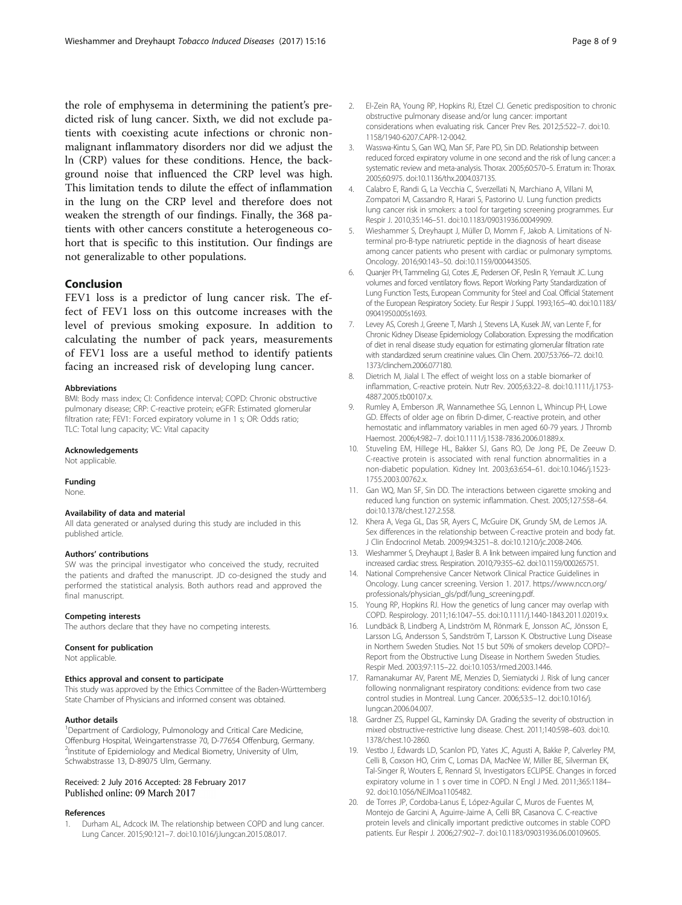<span id="page-7-0"></span>the role of emphysema in determining the patient's predicted risk of lung cancer. Sixth, we did not exclude patients with coexisting acute infections or chronic nonmalignant inflammatory disorders nor did we adjust the ln (CRP) values for these conditions. Hence, the background noise that influenced the CRP level was high. This limitation tends to dilute the effect of inflammation in the lung on the CRP level and therefore does not weaken the strength of our findings. Finally, the 368 patients with other cancers constitute a heterogeneous cohort that is specific to this institution. Our findings are not generalizable to other populations.

## Conclusion

FEV1 loss is a predictor of lung cancer risk. The effect of FEV1 loss on this outcome increases with the level of previous smoking exposure. In addition to calculating the number of pack years, measurements of FEV1 loss are a useful method to identify patients facing an increased risk of developing lung cancer.

#### Abbreviations

BMI: Body mass index; CI: Confidence interval; COPD: Chronic obstructive pulmonary disease; CRP: C-reactive protein; eGFR: Estimated glomerular filtration rate; FEV1: Forced expiratory volume in 1 s; OR: Odds ratio; TLC: Total lung capacity; VC: Vital capacity

#### Acknowledgements

Not applicable.

#### Funding

None.

#### Availability of data and material

All data generated or analysed during this study are included in this published article.

#### Authors' contributions

SW was the principal investigator who conceived the study, recruited the patients and drafted the manuscript. JD co-designed the study and performed the statistical analysis. Both authors read and approved the final manuscript.

## Competing interests

The authors declare that they have no competing interests.

#### Consent for publication

Not applicable.

### Ethics approval and consent to participate

This study was approved by the Ethics Committee of the Baden-Württemberg State Chamber of Physicians and informed consent was obtained.

#### Author details

<sup>1</sup>Department of Cardiology, Pulmonology and Critical Care Medicine, Offenburg Hospital, Weingartenstrasse 70, D-77654 Offenburg, Germany. <sup>2</sup>Institute of Epidemiology and Medical Biometry, University of Ulm, Schwabstrasse 13, D-89075 Ulm, Germany.

## Received: 2 July 2016 Accepted: 28 February 2017 Published online: 09 March 2017

## References

1. Durham AL, Adcock IM. The relationship between COPD and lung cancer. Lung Cancer. 2015;90:121–7. doi:[10.1016/j.lungcan.2015.08.017.](http://dx.doi.org/10.1016/j.lungcan.2015.08.017)

- 2. El-Zein RA, Young RP, Hopkins RJ, Etzel CJ. Genetic predisposition to chronic obstructive pulmonary disease and/or lung cancer: important considerations when evaluating risk. Cancer Prev Res. 2012;5:522–7. doi:[10.](http://dx.doi.org/10.1158/1940-6207.CAPR-12-0042) [1158/1940-6207.CAPR-12-0042](http://dx.doi.org/10.1158/1940-6207.CAPR-12-0042).
- 3. Wasswa-Kintu S, Gan WQ, Man SF, Pare PD, Sin DD. Relationship between reduced forced expiratory volume in one second and the risk of lung cancer: a systematic review and meta-analysis. Thorax. 2005;60:570–5. Erratum in: Thorax. 2005;60:975. doi:[10.1136/thx.2004.037135](http://dx.doi.org/10.1136/thx.2004.037135).
- 4. Calabro E, Randi G, La Vecchia C, Sverzellati N, Marchiano A, Villani M, Zompatori M, Cassandro R, Harari S, Pastorino U. Lung function predicts lung cancer risk in smokers: a tool for targeting screening programmes. Eur Respir J. 2010;35:146–51. doi:[10.1183/09031936.00049909.](http://dx.doi.org/10.1183/09031936.00049909)
- 5. Wieshammer S, Dreyhaupt J, Müller D, Momm F, Jakob A. Limitations of Nterminal pro-B-type natriuretic peptide in the diagnosis of heart disease among cancer patients who present with cardiac or pulmonary symptoms. Oncology. 2016;90:143–50. doi:[10.1159/000443505.](http://dx.doi.org/10.1159/000443505)
- 6. Quanjer PH, Tammeling GJ, Cotes JE, Pedersen OF, Peslin R, Yernault JC. Lung volumes and forced ventilatory flows. Report Working Party Standardization of Lung Function Tests, European Community for Steel and Coal. Official Statement of the European Respiratory Society. Eur Respir J Suppl. 1993;16:5–40. doi:[10.1183/](http://dx.doi.org/10.1183/09041950.005s1693) [09041950.005s1693](http://dx.doi.org/10.1183/09041950.005s1693).
- 7. Levey AS, Coresh J, Greene T, Marsh J, Stevens LA, Kusek JW, van Lente F, for Chronic Kidney Disease Epidemiology Collaboration. Expressing the modification of diet in renal disease study equation for estimating glomerular filtration rate with standardized serum creatinine values. Clin Chem. 2007;53:766–72. doi:[10.](http://dx.doi.org/10.1373/clinchem.2006.077180) [1373/clinchem.2006.077180.](http://dx.doi.org/10.1373/clinchem.2006.077180)
- 8. Dietrich M, Jialal I. The effect of weight loss on a stable biomarker of inflammation, C-reactive protein. Nutr Rev. 2005;63:22–8. doi[:10.1111/j.1753-](http://dx.doi.org/10.1111/j.1753-4887.2005.tb00107.x) [4887.2005.tb00107.x.](http://dx.doi.org/10.1111/j.1753-4887.2005.tb00107.x)
- 9. Rumley A, Emberson JR, Wannamethee SG, Lennon L, Whincup PH, Lowe GD. Effects of older age on fibrin D-dimer, C-reactive protein, and other hemostatic and inflammatory variables in men aged 60-79 years. J Thromb Haemost. 2006;4:982–7. doi:[10.1111/j.1538-7836.2006.01889.x](http://dx.doi.org/10.1111/j.1538-7836.2006.01889.x).
- 10. Stuveling EM, Hillege HL, Bakker SJ, Gans RO, De Jong PE, De Zeeuw D. C-reactive protein is associated with renal function abnormalities in a non-diabetic population. Kidney Int. 2003;63:654–61. doi:[10.1046/j.1523-](http://dx.doi.org/10.1046/j.1523-1755.2003.00762.x) [1755.2003.00762.x](http://dx.doi.org/10.1046/j.1523-1755.2003.00762.x).
- 11. Gan WQ, Man SF, Sin DD. The interactions between cigarette smoking and reduced lung function on systemic inflammation. Chest. 2005;127:558–64. doi[:10.1378/chest.127.2.558.](http://dx.doi.org/10.1378/chest.127.2.558)
- 12. Khera A, Vega GL, Das SR, Ayers C, McGuire DK, Grundy SM, de Lemos JA. Sex differences in the relationship between C-reactive protein and body fat. J Clin Endocrinol Metab. 2009;94:3251–8. doi[:10.1210/jc.2008-2406.](http://dx.doi.org/10.1210/jc.2008-2406)
- 13. Wieshammer S, Dreyhaupt J, Basler B. A link between impaired lung function and increased cardiac stress. Respiration. 2010;79:355–62. doi[:10.1159/000265751.](http://dx.doi.org/10.1159/000265751)
- 14. National Comprehensive Cancer Network Clinical Practice Guidelines in Oncology. Lung cancer screening. Version 1. 2017. [https://www.nccn.org/](https://www.nccn.org/professionals/physician_gls/pdf/lung_screening.pdf) [professionals/physician\\_gls/pdf/lung\\_screening.pdf.](https://www.nccn.org/professionals/physician_gls/pdf/lung_screening.pdf)
- 15. Young RP, Hopkins RJ. How the genetics of lung cancer may overlap with COPD. Respirology. 2011;16:1047–55. doi:[10.1111/j.1440-1843.2011.02019.x](http://dx.doi.org/10.1111/j.1440-1843.2011.02019.x).
- 16. Lundbäck B, Lindberg A, Lindström M, Rönmark E, Jonsson AC, Jönsson E, Larsson LG, Andersson S, Sandström T, Larsson K. Obstructive Lung Disease in Northern Sweden Studies. Not 15 but 50% of smokers develop COPD?– Report from the Obstructive Lung Disease in Northern Sweden Studies. Respir Med. 2003;97:115–22. doi[:10.1053/rmed.2003.1446.](http://dx.doi.org/10.1053/rmed.2003.1446)
- 17. Ramanakumar AV, Parent ME, Menzies D, Siemiatycki J. Risk of lung cancer following nonmalignant respiratory conditions: evidence from two case control studies in Montreal. Lung Cancer. 2006;53:5–12. doi:[10.1016/j.](http://dx.doi.org/10.1016/j.lungcan.2006.04.007) [lungcan.2006.04.007.](http://dx.doi.org/10.1016/j.lungcan.2006.04.007)
- 18. Gardner ZS, Ruppel GL, Kaminsky DA. Grading the severity of obstruction in mixed obstructive-restrictive lung disease. Chest. 2011;140:598–603. doi[:10.](http://dx.doi.org/10.1378/chest.10-2860) [1378/chest.10-2860.](http://dx.doi.org/10.1378/chest.10-2860)
- 19. Vestbo J, Edwards LD, Scanlon PD, Yates JC, Agusti A, Bakke P, Calverley PM, Celli B, Coxson HO, Crim C, Lomas DA, MacNee W, Miller BE, Silverman EK, Tal-Singer R, Wouters E, Rennard SI, Investigators ECLIPSE. Changes in forced expiratory volume in 1 s over time in COPD. N Engl J Med. 2011;365:1184– 92. doi[:10.1056/NEJMoa1105482.](http://dx.doi.org/10.1056/NEJMoa1105482)
- 20. de Torres JP, Cordoba-Lanus E, López-Aguilar C, Muros de Fuentes M, Montejo de Garcini A, Aguirre-Jaime A, Celli BR, Casanova C. C-reactive protein levels and clinically important predictive outcomes in stable COPD patients. Eur Respir J. 2006;27:902–7. doi[:10.1183/09031936.06.00109605](http://dx.doi.org/10.1183/09031936.06.00109605).